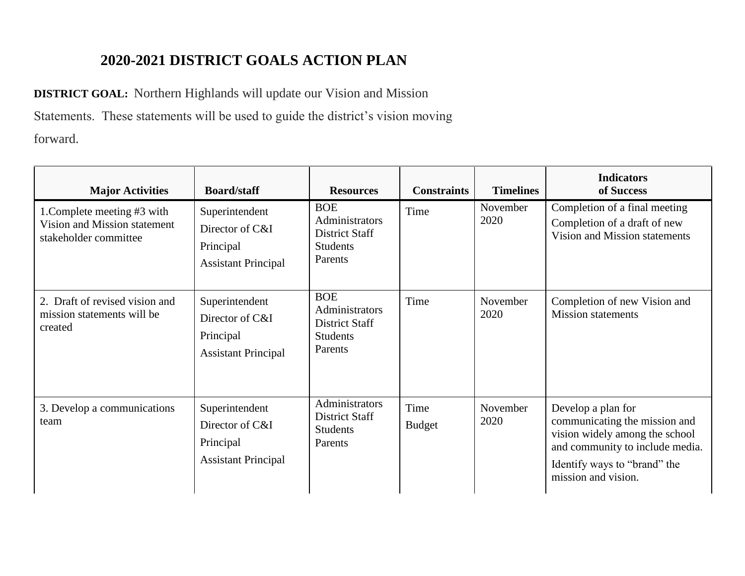## **2020-2021 DISTRICT GOALS ACTION PLAN**

**DISTRICT GOAL:** Northern Highlands will update our Vision and Mission Statements. These statements will be used to guide the district's vision moving forward.

| <b>Major Activities</b>                                                              | <b>Board/staff</b>                                                           | <b>Resources</b>                                                             | <b>Constraints</b>    | <b>Timelines</b> | <b>Indicators</b><br>of Success                                                                                                                                                 |
|--------------------------------------------------------------------------------------|------------------------------------------------------------------------------|------------------------------------------------------------------------------|-----------------------|------------------|---------------------------------------------------------------------------------------------------------------------------------------------------------------------------------|
| 1. Complete meeting #3 with<br>Vision and Mission statement<br>stakeholder committee | Superintendent<br>Director of C&I<br>Principal<br><b>Assistant Principal</b> | <b>BOE</b><br>Administrators<br>District Staff<br><b>Students</b><br>Parents | Time                  | November<br>2020 | Completion of a final meeting<br>Completion of a draft of new<br>Vision and Mission statements                                                                                  |
| 2. Draft of revised vision and<br>mission statements will be<br>created              | Superintendent<br>Director of C&I<br>Principal<br><b>Assistant Principal</b> | <b>BOE</b><br>Administrators<br>District Staff<br><b>Students</b><br>Parents | Time                  | November<br>2020 | Completion of new Vision and<br><b>Mission statements</b>                                                                                                                       |
| 3. Develop a communications<br>team                                                  | Superintendent<br>Director of C&I<br>Principal<br><b>Assistant Principal</b> | Administrators<br>District Staff<br><b>Students</b><br>Parents               | Time<br><b>Budget</b> | November<br>2020 | Develop a plan for<br>communicating the mission and<br>vision widely among the school<br>and community to include media.<br>Identify ways to "brand" the<br>mission and vision. |